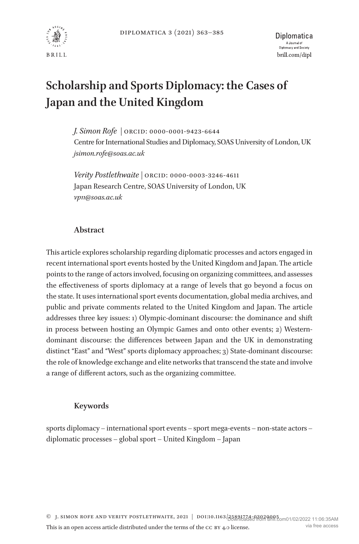

# **Scholarship and Sports Diplomacy: the Cases of Japan and the United Kingdom**

*J. Simon Rofe |* ORCID: 0000-0001-9423-6644 Centre for International Studies and Diplomacy, SOAS University of London, UK *[jsimon.rofe@soas.ac.uk](mailto:jsimon.rofe@soas.ac.uk?subject=)*

*Verity Postlethwaite |* ORCID: 0000-0003-3246-4611 Japan Research Centre, SOAS University of London, UK *vp11@soas.ac.uk*

# **Abstract**

This article explores scholarship regarding diplomatic processes and actors engaged in recent international sport events hosted by the United Kingdom and Japan. The article points to the range of actors involved, focusing on organizing committees, and assesses the effectiveness of sports diplomacy at a range of levels that go beyond a focus on the state. It uses international sport events documentation, global media archives, and public and private comments related to the United Kingdom and Japan. The article addresses three key issues: 1) Olympic-dominant discourse: the dominance and shift in process between hosting an Olympic Games and onto other events; 2) Westerndominant discourse: the differences between Japan and the UK in demonstrating distinct "East" and "West" sports diplomacy approaches; 3) State-dominant discourse: the role of knowledge exchange and elite networks that transcend the state and involve a range of different actors, such as the organizing committee.

# **Keywords**

sports diplomacy – international sport events – sport mega-events – non-state actors – diplomatic processes – global sport – United Kingdom – Japan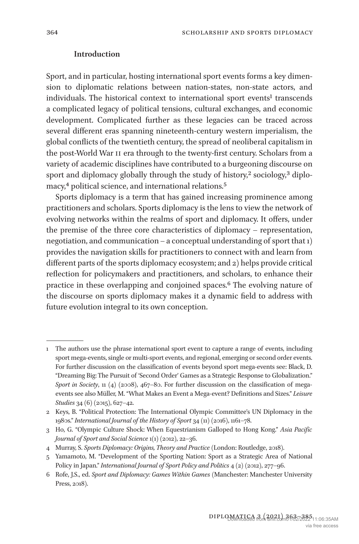## **Introduction**

Sport, and in particular, hosting international sport events forms a key dimension to diplomatic relations between nation-states, non-state actors, and individuals. The historical context to international sport events<sup>[1](#page-1-0)</sup> transcends a complicated legacy of political tensions, cultural exchanges, and economic development. Complicated further as these legacies can be traced across several different eras spanning nineteenth-century western imperialism, the global conflicts of the twentieth century, the spread of neoliberal capitalism in the post-World War ii era through to the twenty-first century. Scholars from a variety of academic disciplines have contributed to a burgeoning discourse on sport and diplomacy globally through the study of history,<sup>[2](#page-1-1)</sup> sociology,<sup>3</sup> diplo-macy,<sup>4</sup> political science, and international relations.<sup>[5](#page-1-4)</sup>

Sports diplomacy is a term that has gained increasing prominence among practitioners and scholars. Sports diplomacy is the lens to view the network of evolving networks within the realms of sport and diplomacy. It offers, under the premise of the three core characteristics of diplomacy – representation, negotiation, and communication – a conceptual understanding of sport that 1) provides the navigation skills for practitioners to connect with and learn from different parts of the sports diplomacy ecosystem; and 2) helps provide critical reflection for policymakers and practitioners, and scholars, to enhance their practice in these overlapping and conjoined spaces[.6](#page-1-5) The evolving nature of the discourse on sports diplomacy makes it a dynamic field to address with future evolution integral to its own conception.

<span id="page-1-0"></span><sup>1</sup> The authors use the phrase international sport event to capture a range of events, including sport mega-events, single or multi-sport events, and regional, emerging or second order events. For further discussion on the classification of events beyond sport mega-events see: Black, D. "Dreaming Big: The Pursuit of 'Second Order' Games as a Strategic Response to Globalization." *Sport in Society*, 11 (4) (2008), 467–80. For further discussion on the classification of megaevents see also Müller, M. "What Makes an Event a Mega-event? Definitions and Sizes." *Leisure Studies* 34 (6) (2015), 627–42.

<span id="page-1-1"></span><sup>2</sup> Keys, B. "Political Protection: The International Olympic Committee's UN Diplomacy in the 1980s." *International Journal of the History of Sport* 34 (11) (2016), 1161–78.

<span id="page-1-2"></span><sup>3</sup> Ho, G. "Olympic Culture Shock: When Equestrianism Galloped to Hong Kong." *Asia Pacific Journal of Sport and Social Science* 1(1) (2012), 22–36.

<span id="page-1-3"></span><sup>4</sup> Murray, S. *Sports Diplomacy: Origins, Theory and Practice* (London: Routledge, 2018).

<span id="page-1-4"></span><sup>5</sup> Yamamoto, M. "Development of the Sporting Nation: Sport as a Strategic Area of National Policy in Japan." *International Journal of Sport Policy and Politics* 4 (2) (2012), 277–96.

<span id="page-1-5"></span><sup>6</sup> Rofe, J.S., ed. *Sport and Diplomacy: Games Within Games* (Manchester: Manchester University Press, 2018).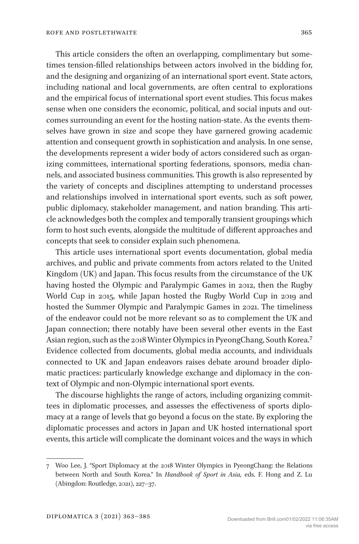This article considers the often an overlapping, complimentary but sometimes tension-filled relationships between actors involved in the bidding for, and the designing and organizing of an international sport event. State actors, including national and local governments, are often central to explorations and the empirical focus of international sport event studies. This focus makes sense when one considers the economic, political, and social inputs and outcomes surrounding an event for the hosting nation-state. As the events themselves have grown in size and scope they have garnered growing academic attention and consequent growth in sophistication and analysis. In one sense, the developments represent a wider body of actors considered such as organizing committees, international sporting federations, sponsors, media channels, and associated business communities. This growth is also represented by the variety of concepts and disciplines attempting to understand processes and relationships involved in international sport events, such as soft power, public diplomacy, stakeholder management, and nation branding. This article acknowledges both the complex and temporally transient groupings which form to host such events, alongside the multitude of different approaches and concepts that seek to consider explain such phenomena.

This article uses international sport events documentation, global media archives, and public and private comments from actors related to the United Kingdom (UK) and Japan. This focus results from the circumstance of the UK having hosted the Olympic and Paralympic Games in 2012, then the Rugby World Cup in 2015, while Japan hosted the Rugby World Cup in 2019 and hosted the Summer Olympic and Paralympic Games in 2021. The timeliness of the endeavor could not be more relevant so as to complement the UK and Japan connection; there notably have been several other events in the East Asian region, such as the 2018 Winter Olympics in PyeongChang, South Korea[.7](#page-2-0) Evidence collected from documents, global media accounts, and individuals connected to UK and Japan endeavors raises debate around broader diplomatic practices: particularly knowledge exchange and diplomacy in the context of Olympic and non-Olympic international sport events.

The discourse highlights the range of actors, including organizing committees in diplomatic processes, and assesses the effectiveness of sports diplomacy at a range of levels that go beyond a focus on the state. By exploring the diplomatic processes and actors in Japan and UK hosted international sport events, this article will complicate the dominant voices and the ways in which

<span id="page-2-0"></span><sup>7</sup> Woo Lee, J. "Sport Diplomacy at the 2018 Winter Olympics in PyeongChang: the Relations between North and South Korea." In *Handbook of Sport in Asia,* eds. F. Hong and Z. Lu (Abingdon: Routledge, 2021), 227–37.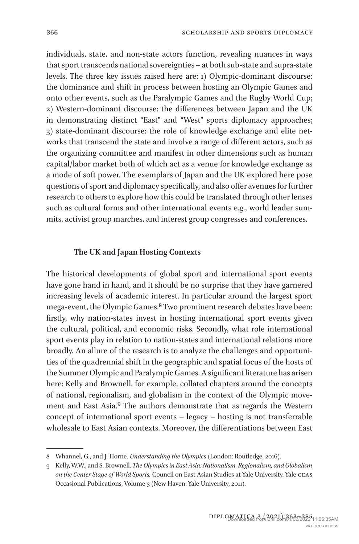individuals, state, and non-state actors function, revealing nuances in ways that sport transcends national sovereignties – at both sub-state and supra-state levels. The three key issues raised here are: 1) Olympic-dominant discourse: the dominance and shift in process between hosting an Olympic Games and onto other events, such as the Paralympic Games and the Rugby World Cup; 2) Western-dominant discourse: the differences between Japan and the UK in demonstrating distinct "East" and "West" sports diplomacy approaches; 3) state-dominant discourse: the role of knowledge exchange and elite networks that transcend the state and involve a range of different actors, such as the organizing committee and manifest in other dimensions such as human capital/labor market both of which act as a venue for knowledge exchange as a mode of soft power. The exemplars of Japan and the UK explored here pose questions of sport and diplomacy specifically, and also offer avenues for further research to others to explore how this could be translated through other lenses such as cultural forms and other international events e.g., world leader summits, activist group marches, and interest group congresses and conferences.

#### **The UK and Japan Hosting Contexts**

The historical developments of global sport and international sport events have gone hand in hand, and it should be no surprise that they have garnered increasing levels of academic interest. In particular around the largest sport mega-event, the Olympic Games[.8](#page-3-0) Two prominent research debates have been: firstly, why nation-states invest in hosting international sport events given the cultural, political, and economic risks. Secondly, what role international sport events play in relation to nation-states and international relations more broadly. An allure of the research is to analyze the challenges and opportunities of the quadrennial shift in the geographic and spatial focus of the hosts of the Summer Olympic and Paralympic Games. A significant literature has arisen here: Kelly and Brownell, for example, collated chapters around the concepts of national, regionalism, and globalism in the context of the Olympic movement and East Asia.[9](#page-3-1) The authors demonstrate that as regards the Western concept of international sport events – legacy – hosting is not transferrable wholesale to East Asian contexts. Moreover, the differentiations between East

<span id="page-3-0"></span><sup>8</sup> Whannel, G., and J. Horne. *Understanding the Olympics* (London: Routledge, 2016).

<span id="page-3-1"></span><sup>9</sup> Kelly, W.W., and S. Brownell. *The Olympics in East Asia: Nationalism, Regionalism, and Globalism on the Center Stage of World Sports.* Council on East Asian Studies at Yale University. Yale ceas Occasional Publications, Volume 3 (New Haven: Yale University, 2011).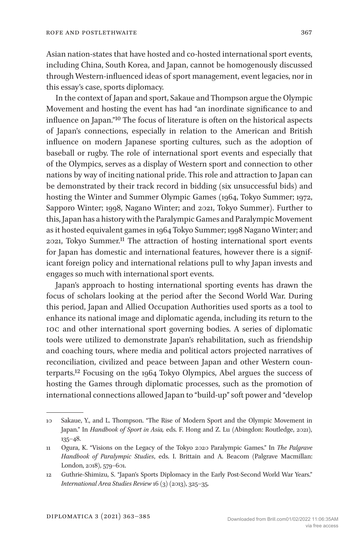Asian nation-states that have hosted and co-hosted international sport events, including China, South Korea, and Japan, cannot be homogenously discussed through Western-influenced ideas of sport management, event legacies, nor in this essay's case, sports diplomacy.

In the context of Japan and sport, Sakaue and Thompson argue the Olympic Movement and hosting the event has had "an inordinate significance to and influence on Japan.["10](#page-4-0) The focus of literature is often on the historical aspects of Japan's connections, especially in relation to the American and British influence on modern Japanese sporting cultures, such as the adoption of baseball or rugby. The role of international sport events and especially that of the Olympics, serves as a display of Western sport and connection to other nations by way of inciting national pride. This role and attraction to Japan can be demonstrated by their track record in bidding (six unsuccessful bids) and hosting the Winter and Summer Olympic Games (1964, Tokyo Summer; 1972, Sapporo Winter; 1998, Nagano Winter; and 2021, Tokyo Summer). Further to this, Japan has a history with the Paralympic Games and Paralympic Movement as it hosted equivalent games in 1964 Tokyo Summer; 1998 Nagano Winter; and 2021, Tokyo Summer[.11](#page-4-1) The attraction of hosting international sport events for Japan has domestic and international features, however there is a significant foreign policy and international relations pull to why Japan invests and engages so much with international sport events.

Japan's approach to hosting international sporting events has drawn the focus of scholars looking at the period after the Second World War. During this period, Japan and Allied Occupation Authorities used sports as a tool to enhance its national image and diplomatic agenda, including its return to the ioc and other international sport governing bodies. A series of diplomatic tools were utilized to demonstrate Japan's rehabilitation, such as friendship and coaching tours, where media and political actors projected narratives of reconciliation, civilized and peace between Japan and other Western counterparts.[12](#page-4-2) Focusing on the 1964 Tokyo Olympics, Abel argues the success of hosting the Games through diplomatic processes, such as the promotion of international connections allowed Japan to "build-up" soft power and "develop

<span id="page-4-0"></span><sup>10</sup> Sakaue, Y., and L. Thompson. "The Rise of Modern Sport and the Olympic Movement in Japan." In *Handbook of Sport in Asia,* eds. F. Hong and Z. Lu (Abingdon: Routledge, 2021), 135–48.

<span id="page-4-1"></span><sup>11</sup> Ogura, K. "Visions on the Legacy of the Tokyo 2020 Paralympic Games." In *The Palgrave Handbook of Paralympic Studies*, eds. I. Brittain and A. Beacom (Palgrave Macmillan: London, 2018), 579–601.

<span id="page-4-2"></span><sup>12</sup> Guthrie-Shimizu, S. "Japan's Sports Diplomacy in the Early Post-Second World War Years." *International Area Studies Review* 16 (3) (2013), 325–35.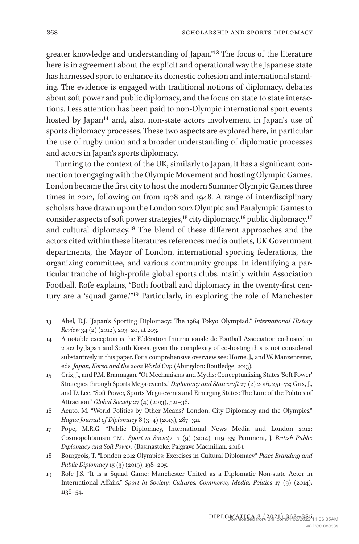greater knowledge and understanding of Japan."[13](#page-5-0) The focus of the literature here is in agreement about the explicit and operational way the Japanese state has harnessed sport to enhance its domestic cohesion and international standing. The evidence is engaged with traditional notions of diplomacy, debates about soft power and public diplomacy, and the focus on state to state interactions. Less attention has been paid to non-Olympic international sport events hosted by Japan<sup>[14](#page-5-1)</sup> and, also, non-state actors involvement in Japan's use of sports diplomacy processes. These two aspects are explored here, in particular the use of rugby union and a broader understanding of diplomatic processes and actors in Japan's sports diplomacy.

Turning to the context of the UK, similarly to Japan, it has a significant connection to engaging with the Olympic Movement and hosting Olympic Games. London became the first city to host the modern Summer Olympic Games three times in 2012, following on from 1908 and 1948. A range of interdisciplinary scholars have drawn upon the London 2012 Olympic and Paralympic Games to consider aspects of soft power strategies,<sup>[15](#page-5-2)</sup> city diplomacy,<sup>16</sup> public diplomacy,<sup>17</sup> and cultural diplomacy[.18](#page-5-5) The blend of these different approaches and the actors cited within these literatures references media outlets, UK Government departments, the Mayor of London, international sporting federations, the organizing committee, and various community groups. In identifying a particular tranche of high-profile global sports clubs, mainly within Association Football, Rofe explains, "Both football and diplomacy in the twenty-first century are a 'squad game.'["19](#page-5-6) Particularly, in exploring the role of Manchester

<span id="page-5-0"></span><sup>13</sup> Abel, R.J. "Japan's Sporting Diplomacy: The 1964 Tokyo Olympiad." *International History Review* 34 (2) (2012), 203–20, at 203.

<span id="page-5-1"></span><sup>14</sup> A notable exception is the Fédération Internationale de Football Association co-hosted in 2002 by Japan and South Korea, given the complexity of co-hosting this is not considered substantively in this paper. For a comprehensive overview see: Horne, J., and W. Manzenreiter, eds. *Japan, Korea and the 2002 World Cup* (Abingdon: Routledge, 2013).

<span id="page-5-2"></span><sup>15</sup> Grix, J., and P.M. Brannagan. "Of Mechanisms and Myths: Conceptualising States 'Soft Power' Strategies through Sports Mega-events." *Diplomacy and Statecraft* 27 (2) 2016, 251–72; Grix, J., and D. Lee. "Soft Power, Sports Mega-events and Emerging States: The Lure of the Politics of Attraction." *Global Society* 27 (4) (2013), 521–36.

<span id="page-5-3"></span><sup>16</sup> Acuto, M. "World Politics by Other Means? London, City Diplomacy and the Olympics." *Hague Journal of Diplomacy* 8 (3–4) (2013), 287–311.

<span id="page-5-4"></span><sup>17</sup> Pope, M.R.G. "Public Diplomacy, International News Media and London 2012: Cosmopolitanism tm." *Sport in Society* 17 (9) (2014), 1119–35; Pamment, J. *British Public Diplomacy and Soft Power*. (Basingstoke: Palgrave Macmillan, 2016).

<span id="page-5-5"></span><sup>18</sup> Bourgeois, T. "London 2012 Olympics: Exercises in Cultural Diplomacy." *Place Branding and Public Diplomacy* 15 (3) (2019), 198–205.

<span id="page-5-6"></span><sup>19</sup> Rofe J.S. "It is a Squad Game: Manchester United as a Diplomatic Non-state Actor in International Affairs." *Sport in Society: Cultures, Commerce, Media, Politics* 17 (9) (2014), 1136–54.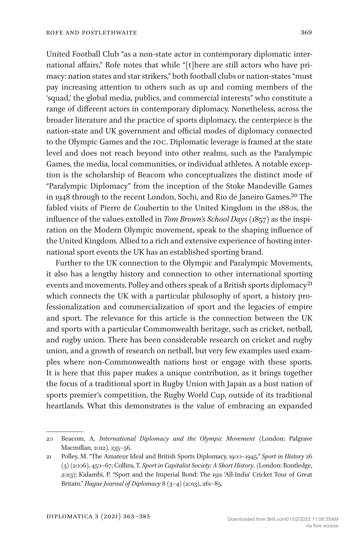United Football Club "as a non-state actor in contemporary diplomatic international affairs," Rofe notes that while "[t]here are still actors who have primacy: nation states and star strikers," both football clubs or nation-states "must pay increasing attention to others such as up and coming members of the 'squad,' the global media, publics, and commercial interests" who constitute a range of different actors in contemporary diplomacy. Nonetheless, across the broader literature and the practice of sports diplomacy, the centerpiece is the nation-state and UK government and official modes of diplomacy connected to the Olympic Games and the ioc. Diplomatic leverage is framed at the state level and does not reach beyond into other realms, such as the Paralympic Games, the media, local communities, or individual athletes. A notable exception is the scholarship of Beacom who conceptualizes the distinct mode of "Paralympic Diplomacy" from the inception of the Stoke Mandeville Games in 1948 through to the recent London, Sochi, and Rio de Janeiro Games[.20](#page-6-0) The fabled visits of Pierre de Coubertin to the United Kingdom in the 1880s, the influence of the values extolled in *Tom Brown's School Days* (1857) as the inspiration on the Modern Olympic movement, speak to the shaping influence of the United Kingdom. Allied to a rich and extensive experience of hosting international sport events the UK has an established sporting brand.

Further to the UK connection to the Olympic and Paralympic Movements, it also has a lengthy history and connection to other international sporting events and movements. Polley and others speak of a British sports diplomacy<sup>[21](#page-6-1)</sup> which connects the UK with a particular philosophy of sport, a history professionalization and commercialization of sport and the legacies of empire and sport. The relevance for this article is the connection between the UK and sports with a particular Commonwealth heritage, such as cricket, netball, and rugby union. There has been considerable research on cricket and rugby union, and a growth of research on netball, but very few examples used examples where non-Commonwealth nations host or engage with these sports. It is here that this paper makes a unique contribution, as it brings together the focus of a traditional sport in Rugby Union with Japan as a host nation of sports premier's competition, the Rugby World Cup, outside of its traditional heartlands. What this demonstrates is the value of embracing an expanded

<span id="page-6-0"></span><sup>20</sup> Beacom, A. *International Diplomacy and the Olympic Movement* (London: Palgrave Macmillan, 2012), 235–56.

<span id="page-6-1"></span><sup>21</sup> Polley, M. "The Amateur Ideal and British Sports Diplomacy, 1900–1945." *Sport in History* 26 (3) (2006), 450–67; Collins, T. *Sport in Capitalist Society: A Short History*. (London: Routledge, 2013); Kidambi, P. "Sport and the Imperial Bond: The 1911 'All-India' Cricket Tour of Great Britain." *Hague Journal of Diplomacy* 8 (3–4) (2013), 261–85.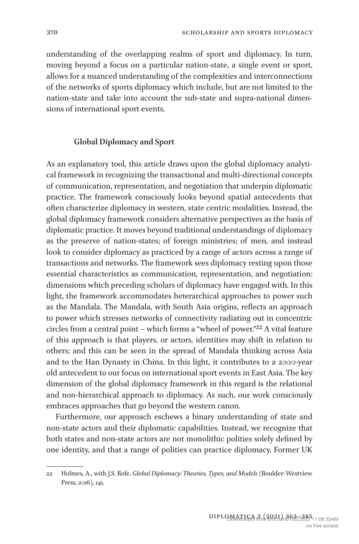understanding of the overlapping realms of sport and diplomacy. In turn, moving beyond a focus on a particular nation-state, a single event or sport, allows for a nuanced understanding of the complexities and interconnections of the networks of sports diplomacy which include, but are not limited to the nation-state and take into account the sub-state and supra-national dimensions of international sport events.

## **Global Diplomacy and Sport**

As an explanatory tool, this article draws upon the global diplomacy analytical framework in recognizing the transactional and multi-directional concepts of communication, representation, and negotiation that underpin diplomatic practice. The framework consciously looks beyond spatial antecedents that often characterize diplomacy in western, state centric modalities. Instead, the global diplomacy framework considers alternative perspectives as the basis of diplomatic practice. It moves beyond traditional understandings of diplomacy as the preserve of nation-states; of foreign ministries; of men, and instead look to consider diplomacy as practiced by a range of actors across a range of transactions and networks. The framework sees diplomacy resting upon those essential characteristics as communication, representation, and negotiation: dimensions which preceding scholars of diplomacy have engaged with. In this light, the framework accommodates heterarchical approaches to power such as the Mandala. The Mandala, with South Asia origins, reflects an approach to power which stresses networks of connectivity radiating out in concentric circles from a central point – which forms a "wheel of power."[22](#page-7-0) A vital feature of this approach is that players, or actors, identities may shift in relation to others; and this can be seen in the spread of Mandala thinking across Asia and to the Han Dynasty in China. In this light, it contributes to a 2000-year old antecedent to our focus on international sport events in East Asia. The key dimension of the global diplomacy framework in this regard is the relational and non-hierarchical approach to diplomacy. As such, our work consciously embraces approaches that go beyond the western canon.

Furthermore, our approach eschews a binary understanding of state and non-state actors and their diplomatic capabilities. Instead, we recognize that both states and non-state actors are not monolithic polities solely defined by one identity, and that a range of polities can practice diplomacy. Former UK

<span id="page-7-0"></span><sup>22</sup> Holmes, A., with J.S. Rofe. *Global Diplomacy: Theories, Types, and Models* (Boulder: Westview Press, 2016), 141.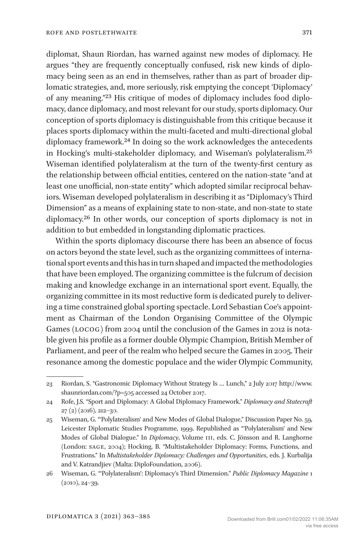diplomat, Shaun Riordan, has warned against new modes of diplomacy. He argues "they are frequently conceptually confused, risk new kinds of diplomacy being seen as an end in themselves, rather than as part of broader diplomatic strategies, and, more seriously, risk emptying the concept 'Diplomacy' of any meaning."[23](#page-8-0) His critique of modes of diplomacy includes food diplomacy, dance diplomacy, and most relevant for our study, sports diplomacy. Our conception of sports diplomacy is distinguishable from this critique because it places sports diplomacy within the multi-faceted and multi-directional global diplomacy framework.[24](#page-8-1) In doing so the work acknowledges the antecedents in Hocking's multi-stakeholder diplomacy, and Wiseman's polylateralism[.25](#page-8-2) Wiseman identified polylateralism at the turn of the twenty-first century as the relationship between official entities, centered on the nation-state "and at least one unofficial, non-state entity" which adopted similar reciprocal behaviors. Wiseman developed polylateralism in describing it as "Diplomacy's Third Dimension" as a means of explaining state to non-state, and non-state to state diplomacy.[26](#page-8-3) In other words, our conception of sports diplomacy is not in addition to but embedded in longstanding diplomatic practices.

Within the sports diplomacy discourse there has been an absence of focus on actors beyond the state level, such as the organizing committees of international sport events and this has in turn shaped and impacted the methodologies that have been employed. The organizing committee is the fulcrum of decision making and knowledge exchange in an international sport event. Equally, the organizing committee in its most reductive form is dedicated purely to delivering a time constrained global sporting spectacle. Lord Sebastian Coe's appointment as Chairman of the London Organising Committee of the Olympic Games (LOCOG) from 2004 until the conclusion of the Games in 2012 is notable given his profile as a former double Olympic Champion, British Member of Parliament, and peer of the realm who helped secure the Games in 2005. Their resonance among the domestic populace and the wider Olympic Community,

<span id="page-8-0"></span><sup>23</sup> Riordan, S. "Gastronomic Diplomacy Without Strategy Is … Lunch," 2 July 2017 [http://www.](http://www.shaunriordan.com/?p=505) [shaunriordan.com/?p=505](http://www.shaunriordan.com/?p=505) accessed 24 October 2017.

<span id="page-8-1"></span><sup>24</sup> Rofe, J.S. "Sport and Diplomacy: A Global Diplomacy Framework." *Diplomacy and Statecraft* 27 (2) (2016), 212–30.

<span id="page-8-2"></span><sup>25</sup> Wiseman, G. "'Polylateralism' and New Modes of Global Dialogue," Discussion Paper No. 59, Leicester Diplomatic Studies Programme, 1999. Republished as "'Polylateralism' and New Modes of Global Dialogue." In *Diplomacy*, Volume iii, eds. C. Jönsson and R. Langhorne (London: sage, 2004); Hocking, B. "Multistakeholder Diplomacy: Forms, Functions, and Frustrations." In *Multistakeholder Diplomacy: Challenges and Opportunities*, eds. J. Kurbalija and V. Katrandjiev (Malta: DiploFoundation, 2006).

<span id="page-8-3"></span><sup>26</sup> Wiseman, G. "'Polylateralism': Diplomacy's Third Dimension." *Public Diplomacy Magazine* 1 (2010), 24–39.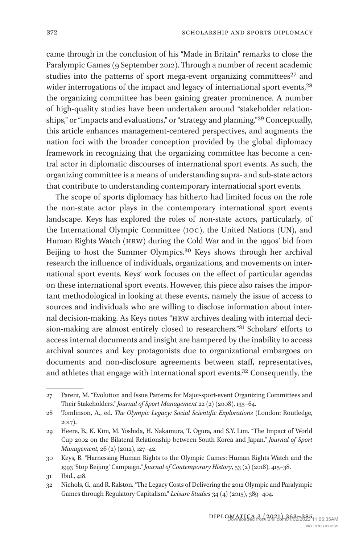came through in the conclusion of his "Made in Britain" remarks to close the Paralympic Games (9 September 2012). Through a number of recent academic studies into the patterns of sport mega-event organizing committees<sup>27</sup> and wider interrogations of the impact and legacy of international sport events,<sup>[28](#page-9-1)</sup> the organizing committee has been gaining greater prominence. A number of high-quality studies have been undertaken around "stakeholder relationships," or "impacts and evaluations," or "strategy and planning."[29](#page-9-2) Conceptually, this article enhances management-centered perspectives, and augments the nation foci with the broader conception provided by the global diplomacy framework in recognizing that the organizing committee has become a central actor in diplomatic discourses of international sport events. As such, the organizing committee is a means of understanding supra- and sub-state actors that contribute to understanding contemporary international sport events.

The scope of sports diplomacy has hitherto had limited focus on the role the non-state actor plays in the contemporary international sport events landscape. Keys has explored the roles of non-state actors, particularly, of the International Olympic Committee (ioc), the United Nations (UN), and Human Rights Watch (hrw) during the Cold War and in the 1990s' bid from Beijing to host the Summer Olympics.[30](#page-9-3) Keys shows through her archival research the influence of individuals, organizations, and movements on international sport events. Keys' work focuses on the effect of particular agendas on these international sport events. However, this piece also raises the important methodological in looking at these events, namely the issue of access to sources and individuals who are willing to disclose information about internal decision-making. As Keys notes "hrw archives dealing with internal decision-making are almost entirely closed to researchers."[31](#page-9-4) Scholars' efforts to access internal documents and insight are hampered by the inability to access archival sources and key protagonists due to organizational embargoes on documents and non-disclosure agreements between staff, representatives, and athletes that engage with international sport events[.32](#page-9-5) Consequently, the

<span id="page-9-0"></span><sup>27</sup> Parent, M. "Evolution and Issue Patterns for Major-sport-event Organizing Committees and Their Stakeholders." *Journal of Sport Management* 22 (2) (2008), 135–64.

<span id="page-9-1"></span><sup>28</sup> Tomlinson, A., ed. *The Olympic Legacy: Social Scientific Explorations* (London: Routledge, 2017).

<span id="page-9-2"></span><sup>29</sup> Heere, B., K. Kim, M. Yoshida, H. Nakamura, T. Ogura, and S.Y. Lim. "The Impact of World Cup 2002 on the Bilateral Relationship between South Korea and Japan." *Journal of Sport Management,* 26 (2) (2012), 127–42.

<span id="page-9-3"></span><sup>30</sup> Keys, B. "Harnessing Human Rights to the Olympic Games: Human Rights Watch and the 1993 'Stop Beijing' Campaign." *Journal of Contemporary History*, 53 (2) (2018), 415–38.

<span id="page-9-4"></span><sup>31</sup> Ibid., 418.

<span id="page-9-5"></span><sup>32</sup> Nichols, G., and R. Ralston. "The Legacy Costs of Delivering the 2012 Olympic and Paralympic Games through Regulatory Capitalism." *Leisure Studies* 34 (4) (2015), 389–404.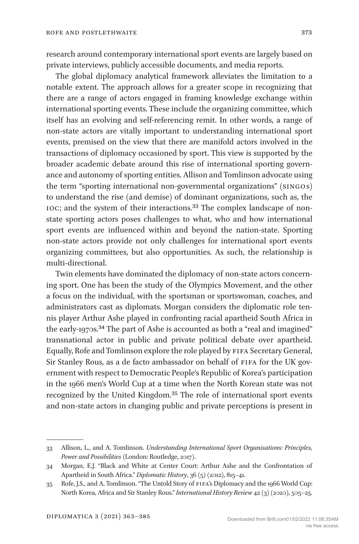research around contemporary international sport events are largely based on private interviews, publicly accessible documents, and media reports.

The global diplomacy analytical framework alleviates the limitation to a notable extent. The approach allows for a greater scope in recognizing that there are a range of actors engaged in framing knowledge exchange within international sporting events. These include the organizing committee, which itself has an evolving and self-referencing remit. In other words, a range of non-state actors are vitally important to understanding international sport events, premised on the view that there are manifold actors involved in the transactions of diplomacy occasioned by sport. This view is supported by the broader academic debate around this rise of international sporting governance and autonomy of sporting entities. Allison and Tomlinson advocate using the term "sporting international non-governmental organizations" (singo s) to understand the rise (and demise) of dominant organizations, such as, the ioc; and the system of their interactions[.33](#page-10-0) The complex landscape of nonstate sporting actors poses challenges to what, who and how international sport events are influenced within and beyond the nation-state. Sporting non-state actors provide not only challenges for international sport events organizing committees, but also opportunities. As such, the relationship is multi-directional.

Twin elements have dominated the diplomacy of non-state actors concerning sport. One has been the study of the Olympics Movement, and the other a focus on the individual, with the sportsman or sportswoman, coaches, and administrators cast as diplomats. Morgan considers the diplomatic role tennis player Arthur Ashe played in confronting racial apartheid South Africa in the early-1970s.<sup>34</sup> The part of Ashe is accounted as both a "real and imagined" transnational actor in public and private political debate over apartheid. Equally, Rofe and Tomlinson explore the role played by fifa Secretary General, Sir Stanley Rous, as a de facto ambassador on behalf of FIFA for the UK government with respect to Democratic People's Republic of Korea's participation in the 1966 men's World Cup at a time when the North Korean state was not recognized by the United Kingdom[.35](#page-10-2) The role of international sport events and non-state actors in changing public and private perceptions is present in

<span id="page-10-0"></span><sup>33</sup> Allison, L., and A. Tomlinson. *Understanding International Sport Organisations: Principles, Power and Possibilities* (London: Routledge, 2017).

<span id="page-10-1"></span><sup>34</sup> Morgan, E.J. "Black and White at Center Court: Arthur Ashe and the Confrontation of Apartheid in South Africa." *Diplomatic History*, 36 (5) (2012), 815–41.

<span id="page-10-2"></span><sup>35</sup> Rofe, J.S., and A. Tomlinson. "The Untold Story of fifa's Diplomacy and the 1966 World Cup: North Korea, Africa and Sir Stanley Rous." *International History Review* 42 (3) (2020), 505–25.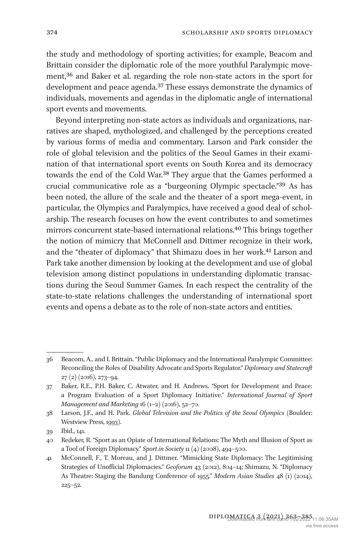the study and methodology of sporting activities; for example, Beacom and Brittain consider the diplomatic role of the more youthful Paralympic movement[,36](#page-11-0) and Baker et al. regarding the role non-state actors in the sport for development and peace agenda[.37](#page-11-1) These essays demonstrate the dynamics of individuals, movements and agendas in the diplomatic angle of international sport events and movements.

Beyond interpreting non-state actors as individuals and organizations, narratives are shaped, mythologized, and challenged by the perceptions created by various forms of media and commentary. Larson and Park consider the role of global television and the politics of the Seoul Games in their examination of that international sport events on South Korea and its democracy towards the end of the Cold War[.38](#page-11-2) They argue that the Games performed a crucial communicative role as a "burgeoning Olympic spectacle."[39](#page-11-3) As has been noted, the allure of the scale and the theater of a sport mega-event, in particular, the Olympics and Paralympics, have received a good deal of scholarship. The research focuses on how the event contributes to and sometimes mirrors concurrent state-based international relations[.40](#page-11-4) This brings together the notion of mimicry that McConnell and Dittmer recognize in their work, and the "theater of diplomacy" that Shimazu does in her work[.41](#page-11-5) Larson and Park take another dimension by looking at the development and use of global television among distinct populations in understanding diplomatic transactions during the Seoul Summer Games. In each respect the centrality of the state-to-state relations challenges the understanding of international sport events and opens a debate as to the role of non-state actors and entities.

<span id="page-11-0"></span><sup>36</sup> Beacom, A., and I. Brittain. "Public Diplomacy and the International Paralympic Committee: Reconciling the Roles of Disability Advocate and Sports Regulator." *Diplomacy and Statecraft* 27 (2) (2016), 273–94.

<span id="page-11-1"></span><sup>37</sup> Baker, R.E., P.H. Baker, C. Atwater, and H. Andrews. "Sport for Development and Peace: a Program Evaluation of a Sport Diplomacy Initiative." *International Journal of Sport Management and Marketing* 16 (1–2) (2016), 52–70.

<span id="page-11-2"></span><sup>38</sup> Larson, J.F., and H. Park. *Global Television and the Politics of the Seoul Olympics* (Boulder: Westview Press, 1993).

<span id="page-11-3"></span><sup>39</sup> Ibid., 141.

<span id="page-11-4"></span><sup>40</sup> Redeker, R. "Sport as an Opiate of International Relations: The Myth and Illusion of Sport as a Tool of Foreign Diplomacy." *Sport in Society* 11 (4) (2008), 494–500.

<span id="page-11-5"></span><sup>41</sup> McConnell, F., T. Moreau, and J. Dittmer. "Mimicking State Diplomacy: The Legitimising Strategies of Unofficial Diplomacies." *Geoforum* 43 (2012), 804–14; Shimazu, N. "Diplomacy As Theatre: Staging the Bandung Conference of 1955." *Modern Asian Studies* 48 (1) (2014), 225–52.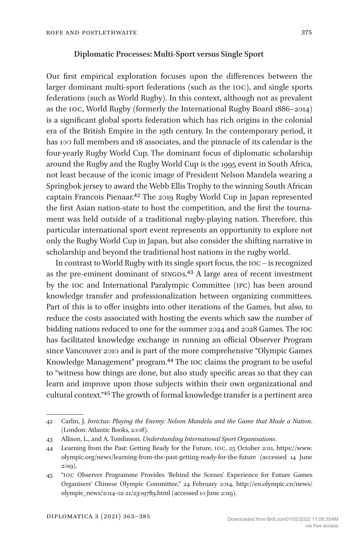## **Diplomatic Processes: Multi-Sport versus Single Sport**

Our first empirical exploration focuses upon the differences between the larger dominant multi-sport federations (such as the ioc), and single sports federations (such as World Rugby). In this context, although not as prevalent as the ioc, World Rugby (formerly the International Rugby Board 1886–2014) is a significant global sports federation which has rich origins in the colonial era of the British Empire in the 19th century. In the contemporary period, it has 100 full members and 18 associates, and the pinnacle of its calendar is the four-yearly Rugby World Cup. The dominant focus of diplomatic scholarship around the Rugby and the Rugby World Cup is the 1995 event in South Africa, not least because of the iconic image of President Nelson Mandela wearing a Springbok jersey to award the Webb Ellis Trophy to the winning South African captain Francois Pienaar.[42](#page-12-0) The 2019 Rugby World Cup in Japan represented the first Asian nation-state to host the competition, and the first the tournament was held outside of a traditional rugby-playing nation. Therefore, this particular international sport event represents an opportunity to explore not only the Rugby World Cup in Japan, but also consider the shifting narrative in scholarship and beyond the traditional host nations in the rugby world.

In contrast to World Rugby with its single sport focus, the ioc – is recognized as the pre-eminent dominant of singo s[.43](#page-12-1) A large area of recent investment by the ioc and International Paralympic Committee (ipc) has been around knowledge transfer and professionalization between organizing committees. Part of this is to offer insights into other iterations of the Games, but also, to reduce the costs associated with hosting the events which saw the number of bidding nations reduced to one for the summer 2024 and 2028 Games. The ioc has facilitated knowledge exchange in running an official Observer Program since Vancouver 2010 and is part of the more comprehensive "Olympic Games Knowledge Management" program.[44](#page-12-2) The ioc claims the program to be useful to "witness how things are done, but also study specific areas so that they can learn and improve upon those subjects within their own organizational and cultural context.["45](#page-12-3) The growth of formal knowledge transfer is a pertinent area

<span id="page-12-0"></span><sup>42</sup> Carlin, J. *Invictus: Playing the Enemy: Nelson Mandela and the Game that Made a Nation*. (London: Atlantic Books, 2008).

<span id="page-12-1"></span><sup>43</sup> Allison, L., and A. Tomlinson. *Understanding International Sport Organisations*.

<span id="page-12-2"></span><sup>44</sup> Learning from the Past: Getting Ready for the Future, ioc, 25 October 2011, [https://www.](https://www.olympic.org/news/learning-from-the-past-getting-ready-for-the-future) [olympic.org/news/learning-from-the-past-getting-ready-for-the-future](https://www.olympic.org/news/learning-from-the-past-getting-ready-for-the-future) (accessed 14 June 2019).

<span id="page-12-3"></span><sup>45</sup> "ioc Observer Programme Provides 'Behind the Scenes' Experience for Future Games Organisers' Chinese Olympic Committee," 24 February 2014. [http://en.olympic.cn/news/](http://en.olympic.cn/news/olympic_news/2014-02-21/2309789.html) [olympic\\_news/2014-02-21/2309789.html](http://en.olympic.cn/news/olympic_news/2014-02-21/2309789.html) (accessed 10 June 2019).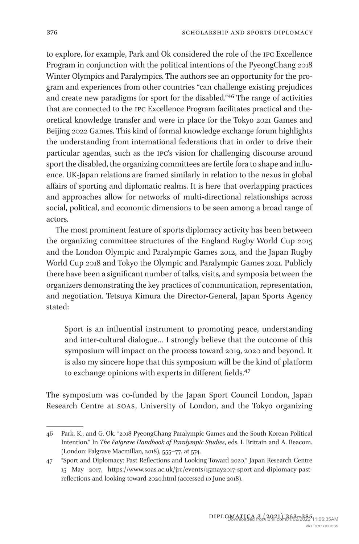to explore, for example, Park and Ok considered the role of the ipc Excellence Program in conjunction with the political intentions of the PyeongChang 2018 Winter Olympics and Paralympics. The authors see an opportunity for the program and experiences from other countries "can challenge existing prejudices and create new paradigms for sport for the disabled.["46](#page-13-0) The range of activities that are connected to the ipc Excellence Program facilitates practical and theoretical knowledge transfer and were in place for the Tokyo 2021 Games and Beijing 2022 Games. This kind of formal knowledge exchange forum highlights the understanding from international federations that in order to drive their particular agendas, such as the ipc's vision for challenging discourse around sport the disabled, the organizing committees are fertile fora to shape and influence. UK-Japan relations are framed similarly in relation to the nexus in global affairs of sporting and diplomatic realms. It is here that overlapping practices and approaches allow for networks of multi-directional relationships across social, political, and economic dimensions to be seen among a broad range of actors.

The most prominent feature of sports diplomacy activity has been between the organizing committee structures of the England Rugby World Cup 2015 and the London Olympic and Paralympic Games 2012, and the Japan Rugby World Cup 2018 and Tokyo the Olympic and Paralympic Games 2021. Publicly there have been a significant number of talks, visits, and symposia between the organizers demonstrating the key practices of communication, representation, and negotiation. Tetsuya Kimura the Director-General, Japan Sports Agency stated:

Sport is an influential instrument to promoting peace, understanding and inter-cultural dialogue… I strongly believe that the outcome of this symposium will impact on the process toward 2019, 2020 and beyond. It is also my sincere hope that this symposium will be the kind of platform to exchange opinions with experts in different fields.<sup>47</sup>

The symposium was co-funded by the Japan Sport Council London, Japan Research Centre at soas, University of London, and the Tokyo organizing

<span id="page-13-0"></span><sup>46</sup> Park, K., and G. Ok. "2018 PyeongChang Paralympic Games and the South Korean Political Intention." In *The Palgrave Handbook of Paralympic Studies*, eds. I. Brittain and A. Beacom. (London: Palgrave Macmillan, 2018), 555–77, at 574.

<span id="page-13-1"></span><sup>47</sup> "Sport and Diplomacy: Past Reflections and Looking Toward 2020," Japan Research Centre 15 May 2017, [https://www.soas.ac.uk/jrc/events/15may2017-sport-and-diplomacy-past](https://www.soas.ac.uk/jrc/events/15may2017-sport-and-diplomacy-past-reflections-and-looking-toward-2020.html)[reflections-and-looking-toward-2020.html](https://www.soas.ac.uk/jrc/events/15may2017-sport-and-diplomacy-past-reflections-and-looking-toward-2020.html) (accessed 10 June 2018).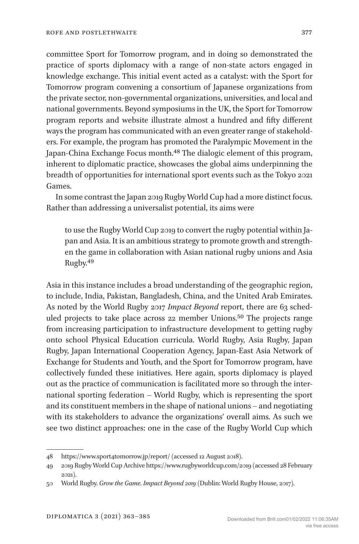committee Sport for Tomorrow program, and in doing so demonstrated the practice of sports diplomacy with a range of non-state actors engaged in knowledge exchange. This initial event acted as a catalyst: with the Sport for Tomorrow program convening a consortium of Japanese organizations from the private sector, non-governmental organizations, universities, and local and national governments. Beyond symposiums in the UK, the Sport for Tomorrow program reports and website illustrate almost a hundred and fifty different ways the program has communicated with an even greater range of stakeholders. For example, the program has promoted the Paralympic Movement in the Japan-China Exchange Focus month.[48](#page-14-0) The dialogic element of this program, inherent to diplomatic practice, showcases the global aims underpinning the breadth of opportunities for international sport events such as the Tokyo 2021 Games.

In some contrast the Japan 2019 Rugby World Cup had a more distinct focus. Rather than addressing a universalist potential, its aims were

to use the Rugby World Cup 2019 to convert the rugby potential within Japan and Asia. It is an ambitious strategy to promote growth and strengthen the game in collaboration with Asian national rugby unions and Asia Rugby[.49](#page-14-1)

Asia in this instance includes a broad understanding of the geographic region, to include, India, Pakistan, Bangladesh, China, and the United Arab Emirates. As noted by the World Rugby 2017 *Impact Beyond* report, there are 63 scheduled projects to take place across 22 member Unions.[50](#page-14-2) The projects range from increasing participation to infrastructure development to getting rugby onto school Physical Education curricula. World Rugby, Asia Rugby, Japan Rugby, Japan International Cooperation Agency, Japan-East Asia Network of Exchange for Students and Youth, and the Sport for Tomorrow program, have collectively funded these initiatives. Here again, sports diplomacy is played out as the practice of communication is facilitated more so through the international sporting federation – World Rugby, which is representing the sport and its constituent members in the shape of national unions – and negotiating with its stakeholders to advance the organizations' overall aims. As such we see two distinct approaches: one in the case of the Rugby World Cup which

<span id="page-14-0"></span><sup>48</sup> <https://www.sport4tomorrow.jp/report/> (accessed 12 August 2018).

<span id="page-14-1"></span><sup>49</sup> 2019 Rugby World Cup Archive<https://www.rugbyworldcup.com/2019>(accessed 28 February 2021).

<span id="page-14-2"></span><sup>50</sup> World Rugby. *Grow the Game. Impact Beyond 2019* (Dublin: World Rugby House, 2017).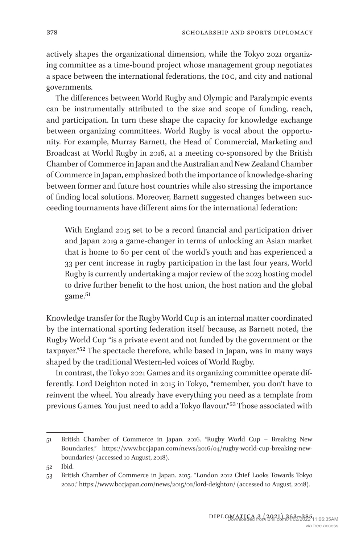actively shapes the organizational dimension, while the Tokyo 2021 organizing committee as a time-bound project whose management group negotiates a space between the international federations, the ioc, and city and national governments.

The differences between World Rugby and Olympic and Paralympic events can be instrumentally attributed to the size and scope of funding, reach, and participation. In turn these shape the capacity for knowledge exchange between organizing committees. World Rugby is vocal about the opportunity. For example, Murray Barnett, the Head of Commercial, Marketing and Broadcast at World Rugby in 2016, at a meeting co-sponsored by the British Chamber of Commerce in Japan and the Australian and New Zealand Chamber of Commerce in Japan, emphasized both the importance of knowledge-sharing between former and future host countries while also stressing the importance of finding local solutions. Moreover, Barnett suggested changes between succeeding tournaments have different aims for the international federation:

With England 2015 set to be a record financial and participation driver and Japan 2019 a game-changer in terms of unlocking an Asian market that is home to 60 per cent of the world's youth and has experienced a 33 per cent increase in rugby participation in the last four years, World Rugby is currently undertaking a major review of the 2023 hosting model to drive further benefit to the host union, the host nation and the global game.<sup>51</sup>

Knowledge transfer for the Rugby World Cup is an internal matter coordinated by the international sporting federation itself because, as Barnett noted, the Rugby World Cup "is a private event and not funded by the government or the taxpayer.["52](#page-15-1) The spectacle therefore, while based in Japan, was in many ways shaped by the traditional Western-led voices of World Rugby.

In contrast, the Tokyo 2021 Games and its organizing committee operate differently. Lord Deighton noted in 2015 in Tokyo, "remember, you don't have to reinvent the wheel. You already have everything you need as a template from previous Games. You just need to add a Tokyo flavour.["53](#page-15-2) Those associated with

<span id="page-15-0"></span><sup>51</sup> British Chamber of Commerce in Japan. 2016. "Rugby World Cup – Breaking New Boundaries," [https://www.bccjapan.com/news/2016/04/rugby-world-cup-breaking-new](https://www.bccjapan.com/news/2016/04/rugby-world-cup-breaking-new-boundaries/)[boundaries/](https://www.bccjapan.com/news/2016/04/rugby-world-cup-breaking-new-boundaries/) (accessed 10 August, 2018).

<span id="page-15-1"></span><sup>52</sup> Ibid.

<span id="page-15-2"></span><sup>53</sup> British Chamber of Commerce in Japan. 2015. "London 2012 Chief Looks Towards Tokyo 2020," <https://www.bccjapan.com/news/2015/02/lord-deighton/> (accessed 10 August, 2018).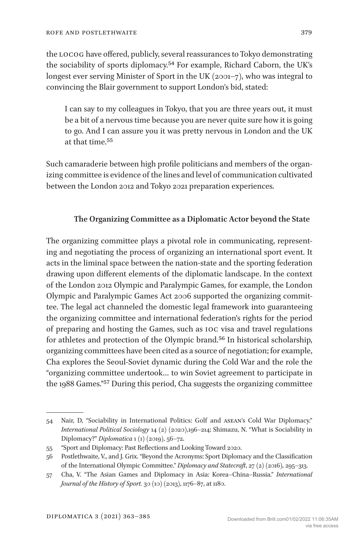the locog have offered, publicly, several reassurances to Tokyo demonstrating the sociability of sports diplomacy.[54](#page-16-0) For example, Richard Caborn, the UK's longest ever serving Minister of Sport in the UK (2001–7), who was integral to convincing the Blair government to support London's bid, stated:

I can say to my colleagues in Tokyo, that you are three years out, it must be a bit of a nervous time because you are never quite sure how it is going to go. And I can assure you it was pretty nervous in London and the UK at that time.[55](#page-16-1)

Such camaraderie between high profile politicians and members of the organizing committee is evidence of the lines and level of communication cultivated between the London 2012 and Tokyo 2021 preparation experiences.

## **The Organizing Committee as a Diplomatic Actor beyond the State**

The organizing committee plays a pivotal role in communicating, representing and negotiating the process of organizing an international sport event. It acts in the liminal space between the nation-state and the sporting federation drawing upon different elements of the diplomatic landscape. In the context of the London 2012 Olympic and Paralympic Games, for example, the London Olympic and Paralympic Games Act 2006 supported the organizing committee. The legal act channeled the domestic legal framework into guaranteeing the organizing committee and international federation's rights for the period of preparing and hosting the Games, such as ioc visa and travel regulations for athletes and protection of the Olympic brand.[56](#page-16-2) In historical scholarship, organizing committees have been cited as a source of negotiation; for example, Cha explores the Seoul-Soviet dynamic during the Cold War and the role the "organizing committee undertook… to win Soviet agreement to participate in the 1988 Games."[57](#page-16-3) During this period, Cha suggests the organizing committee

<span id="page-16-0"></span><sup>54</sup> Nair, D, "Sociability in International Politics: Golf and asean's Cold War Diplomacy." *International Political Sociology* 14 (2) (2020),196–214; Shimazu, N. "What is Sociability in Diplomacy?" *Diplomatica* 1 (1) (2019), 56–72.

<span id="page-16-1"></span><sup>55</sup> "Sport and Diplomacy: Past Reflections and Looking Toward 2020.

<span id="page-16-2"></span><sup>56</sup> Postlethwaite, V., and J. Grix. "Beyond the Acronyms: Sport Diplomacy and the Classification of the International Olympic Committee." *Diplomacy and Statecraft*, 27 (2) (2016), 295–313.

<span id="page-16-3"></span><sup>57</sup> Cha, V. "The Asian Games and Diplomacy in Asia: Korea–China–Russia." *International Journal of the History of Sport.* 30 (10) (2013), 1176–87, at 1180.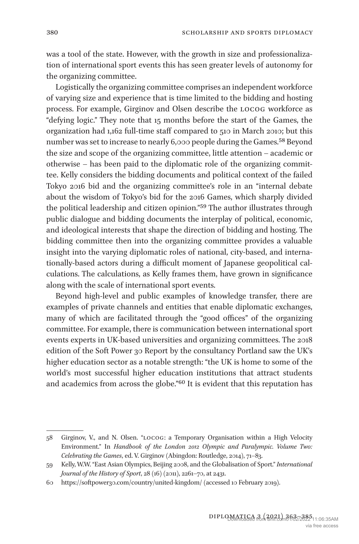was a tool of the state. However, with the growth in size and professionalization of international sport events this has seen greater levels of autonomy for the organizing committee.

Logistically the organizing committee comprises an independent workforce of varying size and experience that is time limited to the bidding and hosting process. For example, Girginov and Olsen describe the locog workforce as "defying logic." They note that 15 months before the start of the Games, the organization had 1,162 full-time staff compared to 510 in March 2010; but this number was set to increase to nearly 6,000 people during the Games[.58](#page-17-0) Beyond the size and scope of the organizing committee, little attention – academic or otherwise – has been paid to the diplomatic role of the organizing committee. Kelly considers the bidding documents and political context of the failed Tokyo 2016 bid and the organizing committee's role in an "internal debate about the wisdom of Tokyo's bid for the 2016 Games, which sharply divided the political leadership and citizen opinion.["59](#page-17-1) The author illustrates through public dialogue and bidding documents the interplay of political, economic, and ideological interests that shape the direction of bidding and hosting. The bidding committee then into the organizing committee provides a valuable insight into the varying diplomatic roles of national, city-based, and internationally-based actors during a difficult moment of Japanese geopolitical calculations. The calculations, as Kelly frames them, have grown in significance along with the scale of international sport events.

Beyond high-level and public examples of knowledge transfer, there are examples of private channels and entities that enable diplomatic exchanges, many of which are facilitated through the "good offices" of the organizing committee. For example, there is communication between international sport events experts in UK-based universities and organizing committees. The 2018 edition of the Soft Power 30 Report by the consultancy Portland saw the UK's higher education sector as a notable strength: "the UK is home to some of the world's most successful higher education institutions that attract students and academics from across the globe."[60](#page-17-2) It is evident that this reputation has

<span id="page-17-0"></span><sup>58</sup> Girginov, V., and N. Olsen. "locog: a Temporary Organisation within a High Velocity Environment." In *Handbook of the London 2012 Olympic and Paralympic. Volume Two: Celebrating the Games*, ed. V. Girginov (Abingdon: Routledge, 2014), 71–83.

<span id="page-17-1"></span><sup>59</sup> Kelly, W.W. "East Asian Olympics, Beijing 2008, and the Globalisation of Sport." *International Journal of the History of Sport*, 28 (16) (2011), 2261–70, at 2431.

<span id="page-17-2"></span><sup>60</sup> <https://softpower30.com/country/united-kingdom/> (accessed 10 February 2019).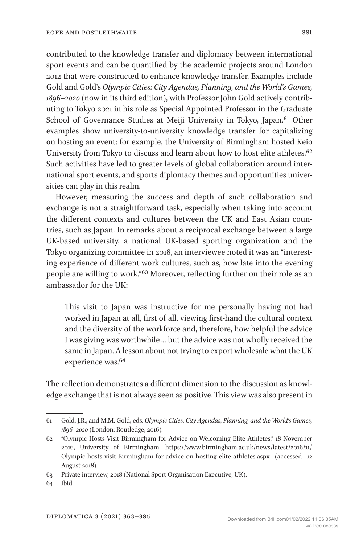contributed to the knowledge transfer and diplomacy between international sport events and can be quantified by the academic projects around London 2012 that were constructed to enhance knowledge transfer. Examples include Gold and Gold's *Olympic Cities: City Agendas, Planning, and the World's Games, 1896–2020* (now in its third edition), with Professor John Gold actively contributing to Tokyo 2021 in his role as Special Appointed Professor in the Graduate School of Governance Studies at Meiji University in Tokyo, Japan.<sup>61</sup> Other examples show university-to-university knowledge transfer for capitalizing on hosting an event: for example, the University of Birmingham hosted Keio University from Tokyo to discuss and learn about how to host elite athletes.<sup>[62](#page-18-1)</sup> Such activities have led to greater levels of global collaboration around international sport events, and sports diplomacy themes and opportunities universities can play in this realm.

However, measuring the success and depth of such collaboration and exchange is not a straightforward task, especially when taking into account the different contexts and cultures between the UK and East Asian countries, such as Japan. In remarks about a reciprocal exchange between a large UK-based university, a national UK-based sporting organization and the Tokyo organizing committee in 2018, an interviewee noted it was an "interesting experience of different work cultures, such as, how late into the evening people are willing to work.["63](#page-18-2) Moreover, reflecting further on their role as an ambassador for the UK:

This visit to Japan was instructive for me personally having not had worked in Japan at all, first of all, viewing first-hand the cultural context and the diversity of the workforce and, therefore, how helpful the advice I was giving was worthwhile… but the advice was not wholly received the same in Japan. A lesson about not trying to export wholesale what the UK experience was.[64](#page-18-3)

The reflection demonstrates a different dimension to the discussion as knowledge exchange that is not always seen as positive. This view was also present in

<span id="page-18-0"></span><sup>61</sup> Gold, J.R., and M.M. Gold, eds. *Olympic Cities: City Agendas, Planning, and the World's Games, 1896–2020* (London: Routledge, 2016).

<span id="page-18-1"></span><sup>62</sup> "Olympic Hosts Visit Birmingham for Advice on Welcoming Elite Athletes," 18 November 2016, University of Birmingham. [https://www.birmingham.ac.uk/news/latest/2016/11/](https://www.birmingham.ac.uk/news/latest/2016/11/Olympic-hosts-visit-Birmingham-for-advice-on-hosting-elite-athletes.aspx) [Olympic-hosts-visit-Birmingham-for-advice-on-hosting-elite-athletes.aspx](https://www.birmingham.ac.uk/news/latest/2016/11/Olympic-hosts-visit-Birmingham-for-advice-on-hosting-elite-athletes.aspx) (accessed 12 August 2018).

<span id="page-18-2"></span><sup>63</sup> Private interview, 2018 (National Sport Organisation Executive, UK).

<span id="page-18-3"></span><sup>64</sup> Ibid.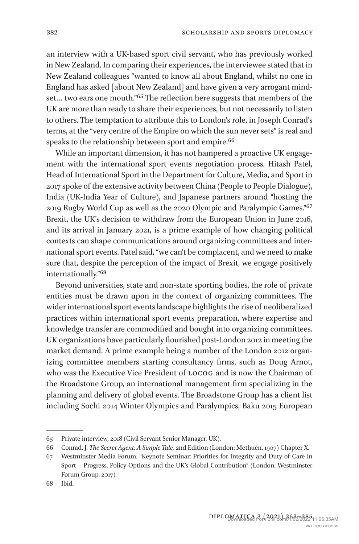an interview with a UK-based sport civil servant, who has previously worked in New Zealand. In comparing their experiences, the interviewee stated that in New Zealand colleagues "wanted to know all about England, whilst no one in England has asked [about New Zealand] and have given a very arrogant mindset… two ears one mouth."[65](#page-19-0) The reflection here suggests that members of the UK are more than ready to share their experiences, but not necessarily to listen to others. The temptation to attribute this to London's role, in Joseph Conrad's terms, at the "very centre of the Empire on which the sun never sets" is real and speaks to the relationship between sport and empire.<sup>66</sup>

While an important dimension, it has not hampered a proactive UK engagement with the international sport events negotiation process. Hitash Patel, Head of International Sport in the Department for Culture, Media, and Sport in 2017 spoke of the extensive activity between China (People to People Dialogue), India (UK-India Year of Culture), and Japanese partners around "hosting the 2019 Rugby World Cup as well as the 2020 Olympic and Paralympic Games.["67](#page-19-2) Brexit, the UK's decision to withdraw from the European Union in June 2016, and its arrival in January 2021, is a prime example of how changing political contexts can shape communications around organizing committees and international sport events. Patel said, "we can't be complacent, and we need to make sure that, despite the perception of the impact of Brexit, we engage positively internationally.["68](#page-19-3)

Beyond universities, state and non-state sporting bodies, the role of private entities must be drawn upon in the context of organizing committees. The wider international sport events landscape highlights the rise of neoliberalized practices within international sport events preparation, where expertise and knowledge transfer are commodified and bought into organizing committees. UK organizations have particularly flourished post-London 2012 in meeting the market demand. A prime example being a number of the London 2012 organizing committee members starting consultancy firms, such as Doug Arnot, who was the Executive Vice President of locog and is now the Chairman of the Broadstone Group, an international management firm specializing in the planning and delivery of global events. The Broadstone Group has a client list including Sochi 2014 Winter Olympics and Paralympics, Baku 2015 European

<span id="page-19-0"></span><sup>65</sup> Private interview, 2018 (Civil Servant Senior Manager, UK).

<span id="page-19-1"></span><sup>66</sup> Conrad, J. *The Secret Agent: A Simple Tale,* 2nd Edition (London: Methuen, 1907) Chapter X.

<span id="page-19-2"></span><sup>67</sup> Westminster Media Forum. "Keynote Seminar: Priorities for Integrity and Duty of Care in Sport – Progress, Policy Options and the UK's Global Contribution" (London: Westminster Forum Group, 2017).

<span id="page-19-3"></span><sup>68</sup> Ibid.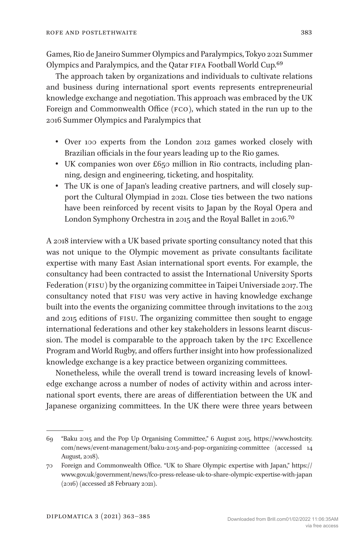Games, Rio de Janeiro Summer Olympics and Paralympics, Tokyo 2021 Summer Olympics and Paralympics, and the Qatar FIFA Football World Cup.<sup>[69](#page-20-0)</sup>

The approach taken by organizations and individuals to cultivate relations and business during international sport events represents entrepreneurial knowledge exchange and negotiation. This approach was embraced by the UK Foreign and Commonwealth Office (FCO), which stated in the run up to the 2016 Summer Olympics and Paralympics that

- Over 100 experts from the London 2012 games worked closely with Brazilian officials in the four years leading up to the Rio games.
- UK companies won over £650 million in Rio contracts, including planning, design and engineering, ticketing, and hospitality.
- The UK is one of Japan's leading creative partners, and will closely support the Cultural Olympiad in 2021. Close ties between the two nations have been reinforced by recent visits to Japan by the Royal Opera and London Symphony Orchestra in 2015 and the Royal Ballet in 2016.[70](#page-20-1)

A 2018 interview with a UK based private sporting consultancy noted that this was not unique to the Olympic movement as private consultants facilitate expertise with many East Asian international sport events. For example, the consultancy had been contracted to assist the International University Sports Federation (FISU) by the organizing committee in Taipei Universiade 2017. The consultancy noted that FISU was very active in having knowledge exchange built into the events the organizing committee through invitations to the 2013 and 2015 editions of fisu. The organizing committee then sought to engage international federations and other key stakeholders in lessons learnt discussion. The model is comparable to the approach taken by the ipc Excellence Program and World Rugby, and offers further insight into how professionalized knowledge exchange is a key practice between organizing committees.

Nonetheless, while the overall trend is toward increasing levels of knowledge exchange across a number of nodes of activity within and across international sport events, there are areas of differentiation between the UK and Japanese organizing committees. In the UK there were three years between

<span id="page-20-0"></span><sup>69</sup> "Baku 2015 and the Pop Up Organising Committee," 6 August 2015, [https://www.hostcity.](https://www.hostcity.com/news/event-management/baku-2015-and-pop-organizing-committee) [com/news/event-management/baku-2015-and-pop-organizing-committee](https://www.hostcity.com/news/event-management/baku-2015-and-pop-organizing-committee) (accessed 14 August, 2018).

<span id="page-20-1"></span><sup>70</sup> Foreign and Commonwealth Office. "UK to Share Olympic expertise with Japan," [https://](https://www.gov.uk/government/news/fco-press-release-uk-to-share-olympic-expertise-with-japan) [www.gov.uk/government/news/fco-press-release-uk-to-share-olympic-expertise-with-japan](https://www.gov.uk/government/news/fco-press-release-uk-to-share-olympic-expertise-with-japan)  (2016) (accessed 28 February 2021).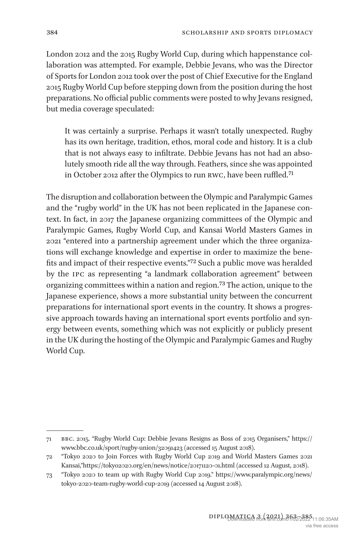London 2012 and the 2015 Rugby World Cup, during which happenstance collaboration was attempted. For example, Debbie Jevans, who was the Director of Sports for London 2012 took over the post of Chief Executive for the England 2015 Rugby World Cup before stepping down from the position during the host preparations. No official public comments were posted to why Jevans resigned, but media coverage speculated:

It was certainly a surprise. Perhaps it wasn't totally unexpected. Rugby has its own heritage, tradition, ethos, moral code and history. It is a club that is not always easy to infiltrate. Debbie Jevans has not had an absolutely smooth ride all the way through. Feathers, since she was appointed in October 2012 after the Olympics to run RWC, have been ruffled.<sup>71</sup>

The disruption and collaboration between the Olympic and Paralympic Games and the "rugby world" in the UK has not been replicated in the Japanese context. In fact, in 2017 the Japanese organizing committees of the Olympic and Paralympic Games, Rugby World Cup, and Kansai World Masters Games in 2021 "entered into a partnership agreement under which the three organizations will exchange knowledge and expertise in order to maximize the benefits and impact of their respective events."[72](#page-21-1) Such a public move was heralded by the ipc as representing "a landmark collaboration agreement" between organizing committees within a nation and region[.73](#page-21-2) The action, unique to the Japanese experience, shows a more substantial unity between the concurrent preparations for international sport events in the country. It shows a progressive approach towards having an international sport events portfolio and synergy between events, something which was not explicitly or publicly present in the UK during the hosting of the Olympic and Paralympic Games and Rugby World Cup.

<span id="page-21-0"></span><sup>71</sup> bbc. 2015. "Rugby World Cup: Debbie Jevans Resigns as Boss of 2015 Organisers," [https://](https://www.bbc.co.uk/sport/rugby-union/32091423) [www.bbc.co.uk/sport/rugby-union/32091423](https://www.bbc.co.uk/sport/rugby-union/32091423) (accessed 15 August 2018).

<span id="page-21-1"></span><sup>72</sup> "Tokyo 2020 to Join Forces with Rugby World Cup 2019 and World Masters Games 2021 Kansai,"<https://tokyo2020.org/en/news/notice/20171120-01.html> (accessed 12 August, 2018).

<span id="page-21-2"></span><sup>73</sup> "Tokyo 2020 to team up with Rugby World Cup 2019." [https://www.paralympic.org/news/](https://www.paralympic.org/news/tokyo-2020-team-rugby-world-cup-2019) [tokyo-2020-team-rugby-world-cup-2019](https://www.paralympic.org/news/tokyo-2020-team-rugby-world-cup-2019) (accessed 14 August 2018).